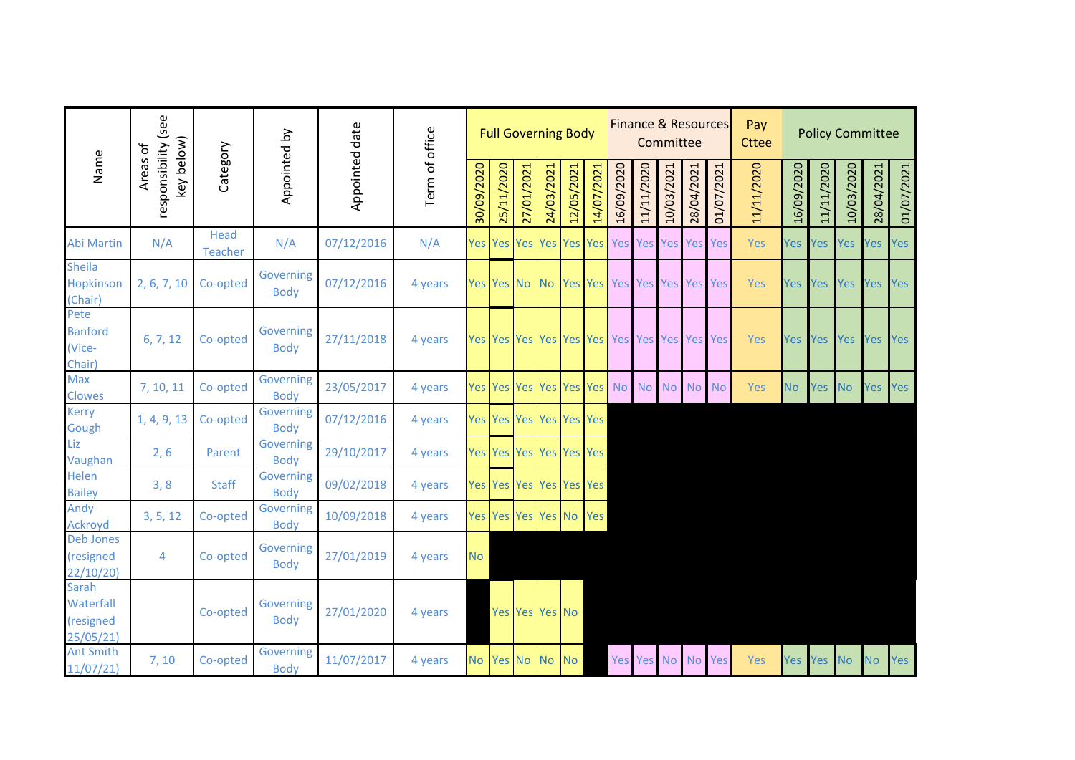|                                             |                                               |                        |                          |                |                | <b>Full Governing Body</b> |            |                         |            |            |                    |                                     | <b>Finance &amp; Resources</b><br>Committee |            |                |            |            | <b>Policy Committee</b> |            |            |            |            |  |
|---------------------------------------------|-----------------------------------------------|------------------------|--------------------------|----------------|----------------|----------------------------|------------|-------------------------|------------|------------|--------------------|-------------------------------------|---------------------------------------------|------------|----------------|------------|------------|-------------------------|------------|------------|------------|------------|--|
| Name                                        | responsibility (see<br>key below)<br>Areas of | Category               | Appointed by             | Appointed date | Term of office | 30/09/2020                 | 25/11/2020 | 27/01/2021              | 24/03/2021 | 12/05/2021 | 14/07/2021         | 16/09/2020                          | 11/11/2020                                  | 10/03/2021 | 28/04/2021     | 01/07/2021 | 11/11/2020 | 16/09/2020              | 11/11/2020 | 10/03/2020 | 28/04/2021 | 01/07/2021 |  |
| <b>Abi Martin</b>                           | N/A                                           | Head<br><b>Teacher</b> | N/A                      | 07/12/2016     | N/A            | <b>Yes</b>                 |            | <b>Yes Yes</b>          | <b>Yes</b> |            | Yes Yes            | <b>Yes</b>                          | <b>Yes</b>                                  | Yes        | Yes            | Yes        | Yes        | Yes                     | <b>Yes</b> | Yes        | Yes        | <b>Yes</b> |  |
| <b>Sheila</b><br>Hopkinson<br>(Chair)       | 2, 6, 7, 10                                   | Co-opted               | Governing<br><b>Body</b> | 07/12/2016     | 4 years        |                            | Yes Yes No |                         | <b>No</b>  |            |                    | Yes Yes Yes Yes                     |                                             | <b>Yes</b> |                | Yes Yes    | Yes        | Yes                     | Yes        | <b>Yes</b> | Yes        | Yes        |  |
| Pete<br><b>Banford</b><br>(Vice-<br>Chair)  | 6, 7, 12                                      | Co-opted               | Governing<br><b>Body</b> | 27/11/2018     | 4 years        |                            |            |                         |            |            |                    | Yes Yes Yes Yes Yes Yes Yes Yes Yes |                                             |            |                | Yes Yes    | Yes        | <b>Yes</b>              | Yes        | <b>Yes</b> | Yes        | Yes        |  |
| Max<br><b>Clowes</b>                        | 7, 10, 11                                     | Co-opted               | Governing<br><b>Body</b> | 23/05/2017     | 4 years        |                            |            | <b>Yes Yes Yes</b>      |            |            | <b>Yes Yes Yes</b> | No                                  | <b>No</b>                                   | No.        | N <sub>o</sub> | <b>No</b>  | Yes        | <b>No</b>               | <b>Yes</b> | <b>No</b>  | Yes        | Yes        |  |
| <b>Kerry</b><br>Gough                       | 1, 4, 9, 13                                   | Co-opted               | Governing<br><b>Body</b> | 07/12/2016     | 4 years        |                            |            | Yes Yes Yes Yes Yes Yes |            |            |                    |                                     |                                             |            |                |            |            |                         |            |            |            |            |  |
| Liz<br>Vaughan                              | 2, 6                                          | Parent                 | Governing<br><b>Body</b> | 29/10/2017     | 4 years        |                            |            | Yes Yes Yes Yes Yes Yes |            |            |                    |                                     |                                             |            |                |            |            |                         |            |            |            |            |  |
| <b>Helen</b><br><b>Bailey</b>               | 3, 8                                          | <b>Staff</b>           | Governing<br><b>Body</b> | 09/02/2018     | 4 years        |                            |            | Yes Yes Yes Yes Yes Yes |            |            |                    |                                     |                                             |            |                |            |            |                         |            |            |            |            |  |
| Andy<br>Ackroyd                             | 3, 5, 12                                      | Co-opted               | Governing<br><b>Body</b> | 10/09/2018     | 4 years        |                            |            | Yes Yes Yes Yes No      |            |            | Yes                |                                     |                                             |            |                |            |            |                         |            |            |            |            |  |
| <b>Deb Jones</b><br>(resigned<br>22/10/20)  | $\overline{4}$                                | Co-opted               | Governing<br><b>Body</b> | 27/01/2019     | 4 years        | <b>No</b>                  |            |                         |            |            |                    |                                     |                                             |            |                |            |            |                         |            |            |            |            |  |
| Sarah<br>Waterfall<br>(resigned<br>25/05/21 |                                               | Co-opted               | Governing<br><b>Body</b> | 27/01/2020     | 4 years        |                            |            | Yes Yes Yes No          |            |            |                    |                                     |                                             |            |                |            |            |                         |            |            |            |            |  |
| <b>Ant Smith</b><br>11/07/21                | 7, 10                                         | Co-opted               | Governing<br><b>Body</b> | 11/07/2017     | 4 years        | <b>No</b>                  | Yes No     |                         | <b>No</b>  | <b>No</b>  |                    | Yes                                 |                                             | Yes No     |                | No Yes     | Yes        | Yes                     | <b>Yes</b> | <b>No</b>  | <b>No</b>  | Yes        |  |